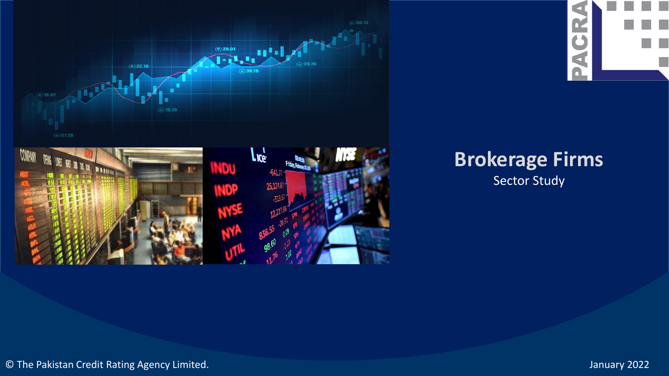



### **Brokerage Firms** Sector Study

 $\lvert \cdot \rvert$ 

**PACR** 

© The Pakistan Credit Rating Agency Limited. January 2022

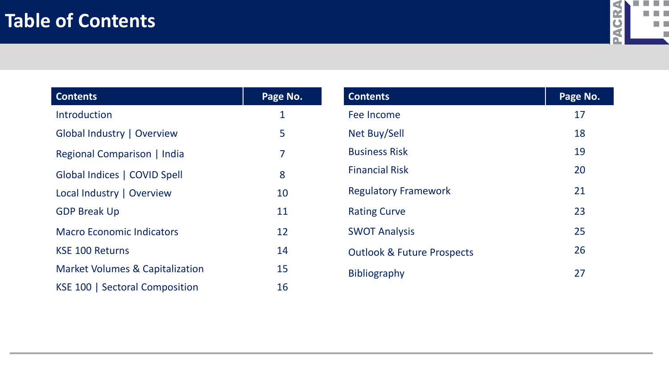

| <b>Contents</b>                            | Page No.    |
|--------------------------------------------|-------------|
| Introduction                               | $\mathbf 1$ |
| Global Industry   Overview                 | 5           |
| Regional Comparison   India                | 7           |
| Global Indices   COVID Spell               | 8           |
| Local Industry   Overview                  | 10          |
| <b>GDP Break Up</b>                        | 11          |
| <b>Macro Economic Indicators</b>           | 12          |
| <b>KSE 100 Returns</b>                     | 14          |
| <b>Market Volumes &amp; Capitalization</b> | 15          |
| KSE 100   Sectoral Composition             | 16          |

| <b>Contents</b>                       | Page No. |
|---------------------------------------|----------|
| Fee Income                            | 17       |
| Net Buy/Sell                          | 18       |
| <b>Business Risk</b>                  | 19       |
| <b>Financial Risk</b>                 | 20       |
| <b>Regulatory Framework</b>           | 21       |
| <b>Rating Curve</b>                   | 23       |
| <b>SWOT Analysis</b>                  | 25       |
| <b>Outlook &amp; Future Prospects</b> | 26       |
| <b>Bibliography</b>                   | 27       |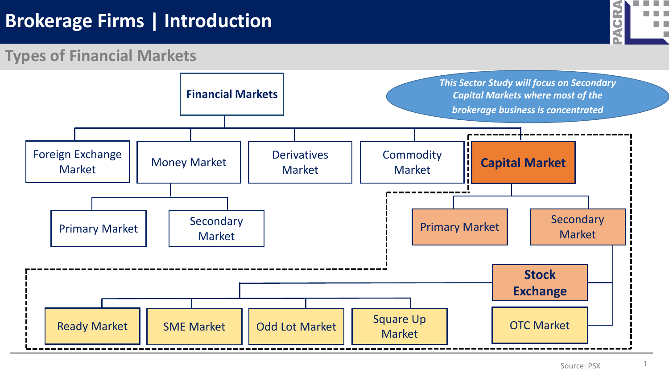### **Brokerage Firms | Introduction**



#### **Types of Financial Markets**

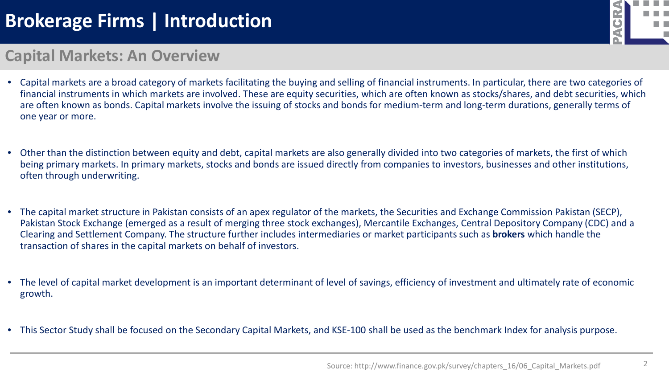# **Brokerage Firms | Introduction**



#### **Capital Markets: An Overview**

- Capital markets are a broad category of markets facilitating the buying and selling of financial instruments. In particular, there are two categories of financial instruments in which markets are involved. These are equity securities, which are often known as stocks/shares, and debt securities, which are often known as bonds. Capital markets involve the issuing of stocks and bonds for medium-term and long-term durations, generally terms of one year or more.
- Other than the distinction between equity and debt, capital markets are also generally divided into two categories of markets, the first of which being primary markets. In primary markets, stocks and bonds are issued directly from companies to investors, businesses and other institutions, often through underwriting.
- The capital market structure in Pakistan consists of an apex regulator of the markets, the Securities and Exchange Commission Pakistan (SECP), Pakistan Stock Exchange (emerged as a result of merging three stock exchanges), Mercantile Exchanges, Central Depository Company (CDC) and a Clearing and Settlement Company. The structure further includes intermediaries or market participants such as **brokers** which handle the transaction of shares in the capital markets on behalf of investors.
- The level of capital market development is an important determinant of level of savings, efficiency of investment and ultimately rate of economic growth.
- This Sector Study shall be focused on the Secondary Capital Markets, and KSE-100 shall be used as the benchmark Index for analysis purpose.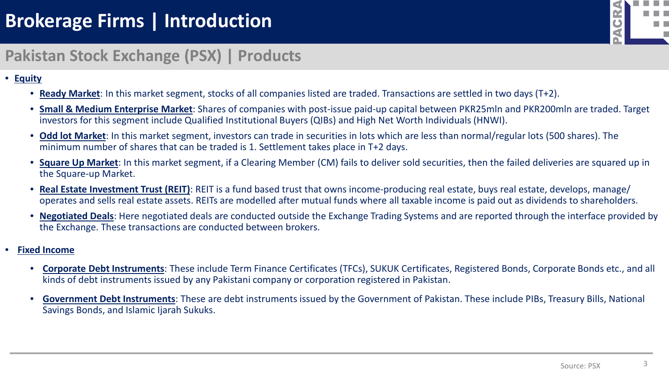

### **Pakistan Stock Exchange (PSX) | Products**

#### • **Equity**

- **Ready Market**: In this market segment, stocks of all companies listed are traded. Transactions are settled in two days (T+2).
- **Small & Medium Enterprise Market**: Shares of companies with post-issue paid-up capital between PKR25mln and PKR200mln are traded. Target investors for this segment include Qualified Institutional Buyers (QIBs) and High Net Worth Individuals (HNWI).
- **Odd lot Market**: In this market segment, investors can trade in securities in lots which are less than normal/regular lots (500 shares). The minimum number of shares that can be traded is 1. Settlement takes place in T+2 days.
- **Square Up Market**: In this market segment, if a Clearing Member (CM) fails to deliver sold securities, then the failed deliveries are squared up in the Square-up Market.
- **Real Estate Investment Trust (REIT)**: REIT is a fund based trust that owns income-producing real estate, buys real estate, develops, manage/ operates and sells real estate assets. REITs are modelled after mutual funds where all taxable income is paid out as dividends to shareholders.
- **Negotiated Deals**: Here negotiated deals are conducted outside the Exchange Trading Systems and are reported through the interface provided by the Exchange. These transactions are conducted between brokers.

#### • **Fixed Income**

- **Corporate Debt Instruments**: These include Term Finance Certificates (TFCs), SUKUK Certificates, Registered Bonds, Corporate Bonds etc., and all kinds of debt instruments issued by any Pakistani company or corporation registered in Pakistan.
- **Government Debt Instruments**: These are debt instruments issued by the Government of Pakistan. These include PIBs, Treasury Bills, National Savings Bonds, and Islamic Ijarah Sukuks.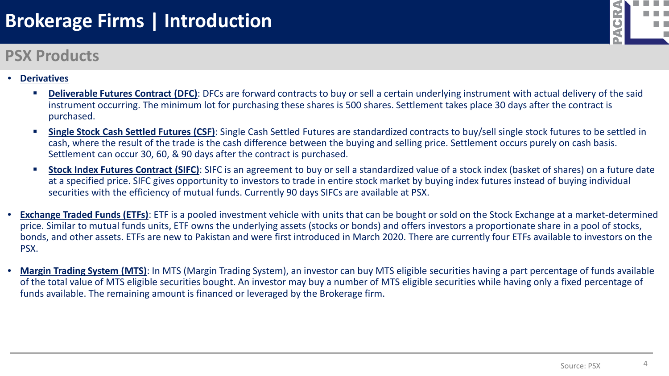## **Brokerage Firms | Introduction**

### **PSX Products**



- **Derivatives**
	- **Deliverable Futures Contract (DFC)**: DFCs are forward contracts to buy or sell a certain underlying instrument with actual delivery of the said instrument occurring. The minimum lot for purchasing these shares is 500 shares. Settlement takes place 30 days after the contract is purchased.
	- **Single Stock Cash Settled Futures (CSF)**: Single Cash Settled Futures are standardized contracts to buy/sell single stock futures to be settled in cash, where the result of the trade is the cash difference between the buying and selling price. Settlement occurs purely on cash basis. Settlement can occur 30, 60, & 90 days after the contract is purchased.
	- **Stock Index Futures Contract (SIFC)**: SIFC is an agreement to buy or sell a standardized value of a stock index (basket of shares) on a future date at a specified price. SIFC gives opportunity to investors to trade in entire stock market by buying index futures instead of buying individual securities with the efficiency of mutual funds. Currently 90 days SIFCs are available at PSX.
- **Exchange Traded Funds (ETFs)**: ETF is a pooled investment vehicle with units that can be bought or sold on the Stock Exchange at a market-determined price. Similar to mutual funds units, ETF owns the underlying assets (stocks or bonds) and offers investors a proportionate share in a pool of stocks, bonds, and other assets. ETFs are new to Pakistan and were first introduced in March 2020. There are currently four ETFs available to investors on the PSX.
- **Margin Trading System (MTS)**: In MTS (Margin Trading System), an investor can buy MTS eligible securities having a part percentage of funds available of the total value of MTS eligible securities bought. An investor may buy a number of MTS eligible securities while having only a fixed percentage of funds available. The remaining amount is financed or leveraged by the Brokerage firm.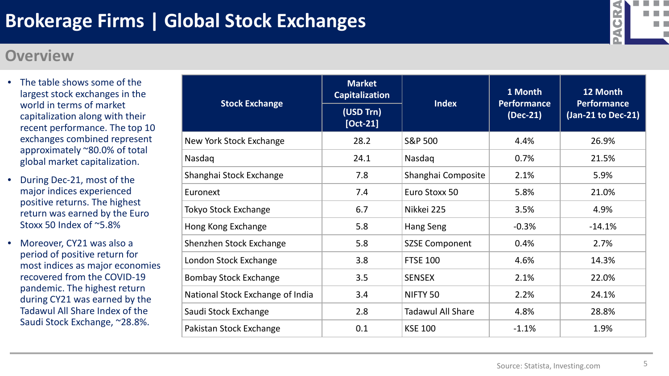

#### **Overview**

- The table shows some of the largest stock exchanges in the world in terms of market capitalization along with their recent performance. The top 10 exchanges combined represent approximately ~80.0% of total global market capitalization.
- During Dec-21, most of the major indices experienced positive returns. The highest return was earned by the Euro Stoxx 50 Index of ~5.8%
- Moreover, CY21 was also a period of positive return for most indices as major economies recovered from the COVID-19 pandemic. The highest return during CY21 was earned by the Tadawul All Share Index of the Saudi Stock Exchange, ~28.8%.

| <b>Stock Exchange</b>            | <b>Market</b><br><b>Capitalization</b><br>(USD Trn)<br>$[Oct-21]$ | <b>Index</b>             | 1 Month<br><b>Performance</b><br>$(Dec-21)$ | 12 Month<br><b>Performance</b><br>(Jan-21 to Dec-21) |
|----------------------------------|-------------------------------------------------------------------|--------------------------|---------------------------------------------|------------------------------------------------------|
| New York Stock Exchange          | 28.2                                                              | <b>S&amp;P 500</b>       | 4.4%                                        | 26.9%                                                |
| Nasdaq                           | 24.1                                                              | Nasdaq                   | 0.7%                                        | 21.5%                                                |
| Shanghai Stock Exchange          | 7.8                                                               | Shanghai Composite       | 2.1%                                        | 5.9%                                                 |
| Euronext                         | 7.4                                                               | Euro Stoxx 50            | 5.8%                                        | 21.0%                                                |
| Tokyo Stock Exchange             | 6.7                                                               | Nikkei 225               | 3.5%                                        | 4.9%                                                 |
| Hong Kong Exchange               | 5.8                                                               | Hang Seng                | $-0.3%$                                     | $-14.1%$                                             |
| <b>Shenzhen Stock Exchange</b>   | 5.8                                                               | <b>SZSE Component</b>    | 0.4%                                        | 2.7%                                                 |
| London Stock Exchange            | 3.8                                                               | <b>FTSE 100</b>          | 4.6%                                        | 14.3%                                                |
| <b>Bombay Stock Exchange</b>     | 3.5                                                               | <b>SENSEX</b>            | 2.1%                                        | 22.0%                                                |
| National Stock Exchange of India | 3.4                                                               | NIFTY <sub>50</sub>      | 2.2%                                        | 24.1%                                                |
| Saudi Stock Exchange             | 2.8                                                               | <b>Tadawul All Share</b> | 4.8%                                        | 28.8%                                                |
| Pakistan Stock Exchange          | 0.1                                                               | <b>KSE 100</b>           | $-1.1%$                                     | 1.9%                                                 |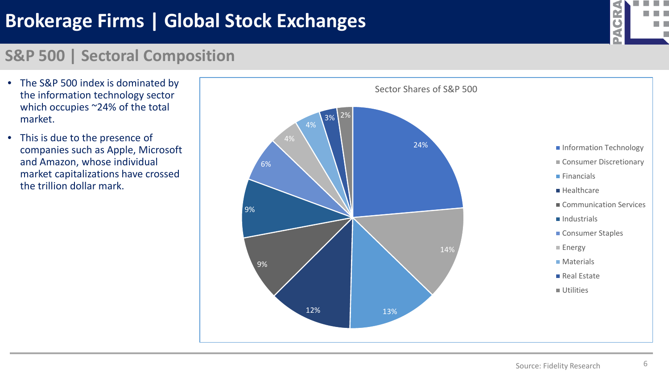# **Brokerage Firms | Global Stock Exchanges**



#### **S&P 500 | Sectoral Composition**

- The S&P 500 index is dominated by the information technology sector which occupies ~24% of the total market.
- This is due to the presence of companies such as Apple, Microsoft and Amazon, whose individual market capitalizations have crossed the trillion dollar mark.

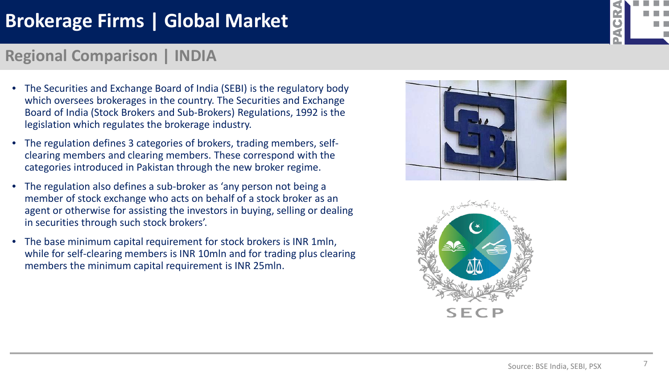# **Brokerage Firms | Global Market**

### **Regional Comparison | INDIA**

- The Securities and Exchange Board of India (SEBI) is the regulatory body which oversees brokerages in the country. The Securities and Exchange Board of India (Stock Brokers and Sub-Brokers) Regulations, 1992 is the legislation which regulates the brokerage industry.
- The regulation defines 3 categories of brokers, trading members, selfclearing members and clearing members. These correspond with the categories introduced in Pakistan through the new broker regime.
- The regulation also defines a sub-broker as 'any person not being a member of stock exchange who acts on behalf of a stock broker as an agent or otherwise for assisting the investors in buying, selling or dealing in securities through such stock brokers'.
- The base minimum capital requirement for stock brokers is INR 1mln, while for self-clearing members is INR 10mln and for trading plus clearing members the minimum capital requirement is INR 25mln.





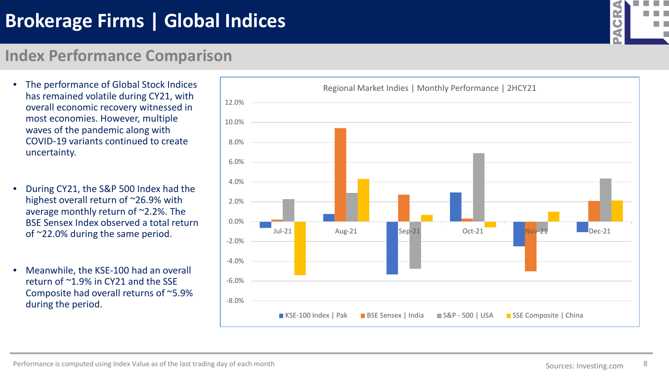# **Brokerage Firms | Global Indices**

### **Index Performance Comparison**

- The performance of Global Stock Indices has remained volatile during CY21, with overall economic recovery witnessed in most economies. However, multiple waves of the pandemic along with COVID-19 variants continued to create uncertainty.
- During CY21, the S&P 500 Index had the highest overall return of ~26.9% with average monthly return of ~2.2%. The BSE Sensex Index observed a total return of ~22.0% during the same period.
- Meanwhile, the KSE-100 had an overall return of ~1.9% in CY21 and the SSE Composite had overall returns of ~5.9% during the period.



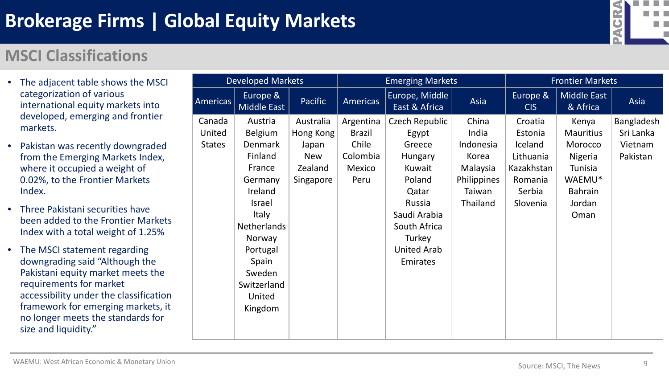

### **MSCI Classifications**

- The adjacent table shows the MSCI categorization of various international equity markets into developed, emerging and frontier markets.
- Pakistan was recently downgraded from the Emerging Markets Index, where it occupied a weight of 0.02%, to the Frontier Markets Index.
- Three Pakistani securities have been added to the Frontier Markets Index with a total weight of 1.25%
- The MSCI statement regarding downgrading said "Although the Pakistani equity market meets the requirements for market accessibility under the classification framework for emerging markets, it no longer meets the standards for size and liquidity."

|                 | <b>Developed Markets</b> |                |                 | <b>Emerging Markets</b>         |             |                        | <b>Frontier Markets</b> |            |  |  |
|-----------------|--------------------------|----------------|-----------------|---------------------------------|-------------|------------------------|-------------------------|------------|--|--|
| <b>Americas</b> | Europe &<br>Middle East  | <b>Pacific</b> | <b>Americas</b> | Europe, Middle<br>East & Africa | Asia        | Europe &<br><b>CIS</b> | Middle East<br>& Africa | Asia       |  |  |
| Canada          | Austria                  | Australia      | Argentina       | Czech Republic                  | China       | Croatia                | Kenya                   | Bangladesh |  |  |
| United          | <b>Belgium</b>           | Hong Kong      | <b>Brazil</b>   | Egypt                           | India       | Estonia                | <b>Mauritius</b>        | Sri Lanka  |  |  |
| <b>States</b>   | <b>Denmark</b>           | Japan          | Chile           | Greece                          | Indonesia   | Iceland                | Morocco                 | Vietnam    |  |  |
|                 | Finland                  | <b>New</b>     | Colombia        | <b>Hungary</b>                  | Korea       | Lithuania              | Nigeria                 | Pakistan   |  |  |
|                 | France                   | Zealand        | Mexico          | Kuwait                          | Malaysia    | Kazakhstan             | <b>Tunisia</b>          |            |  |  |
|                 | Germany                  | Singapore      | Peru            | Poland                          | Philippines | Romania                | WAEMU*                  |            |  |  |
|                 | Ireland                  |                |                 | Qatar                           | Taiwan      | Serbia                 | <b>Bahrain</b>          |            |  |  |
|                 | <b>Israel</b>            |                |                 | Russia                          | Thailand    | Slovenia               | Jordan                  |            |  |  |
|                 | Italy                    |                |                 | Saudi Arabia                    |             |                        | Oman                    |            |  |  |
|                 | <b>Netherlands</b>       |                |                 | South Africa                    |             |                        |                         |            |  |  |
|                 | Norway                   |                |                 | Turkey                          |             |                        |                         |            |  |  |
|                 | Portugal                 |                |                 | <b>United Arab</b>              |             |                        |                         |            |  |  |
|                 | Spain                    |                |                 | Emirates                        |             |                        |                         |            |  |  |
|                 | Sweden                   |                |                 |                                 |             |                        |                         |            |  |  |
|                 | Switzerland              |                |                 |                                 |             |                        |                         |            |  |  |
|                 | United                   |                |                 |                                 |             |                        |                         |            |  |  |
|                 | Kingdom                  |                |                 |                                 |             |                        |                         |            |  |  |
|                 |                          |                |                 |                                 |             |                        |                         |            |  |  |
|                 |                          |                |                 |                                 |             |                        |                         |            |  |  |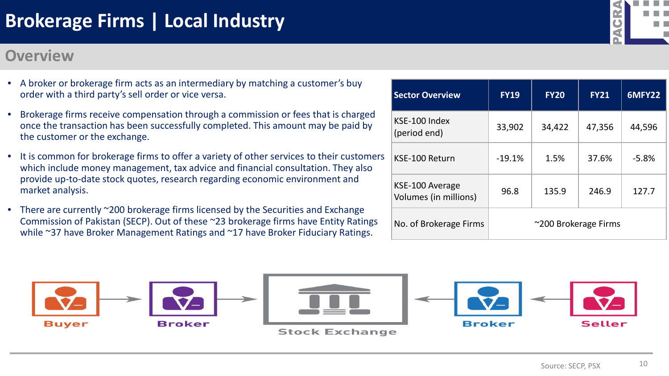#### **Overview**



- A broker or brokerage firm acts as an intermediary by matching a customer's buy order with a third party's sell order or vice versa.
- Brokerage firms receive compensation through a commission or fees that is charged once the transaction has been successfully completed. This amount may be paid by the customer or the exchange.
- It is common for brokerage firms to offer a variety of other services to their customers which include money management, tax advice and financial consultation. They also provide up-to-date stock quotes, research regarding economic environment and market analysis.
- There are currently ~200 brokerage firms licensed by the Securities and Exchange Commission of Pakistan (SECP). Out of these ~23 brokerage firms have Entity Ratings while ~37 have Broker Management Ratings and ~17 have Broker Fiduciary Ratings.



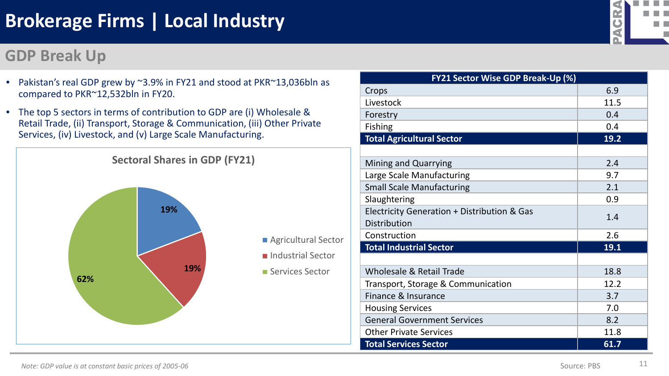• Pakistan's real GDP grew by ~3.9% in FY21 and stood at PKR~13,036bln as

• The top 5 sectors in terms of contribution to GDP are (i) Wholesale &

#### **GDP Break Up**

compared to PKR~12,532bln in FY20.



|                                                                    | d    |
|--------------------------------------------------------------------|------|
|                                                                    |      |
| <b>FY21 Sector Wise GDP Break-Up (%)</b>                           |      |
| Crops                                                              | 6.9  |
| Livestock                                                          | 11.5 |
| Forestry                                                           | 0.4  |
| <b>Fishing</b>                                                     | 0.4  |
| <b>Total Agricultural Sector</b>                                   | 19.2 |
|                                                                    |      |
| Mining and Quarrying                                               | 2.4  |
| Large Scale Manufacturing                                          | 9.7  |
| <b>Small Scale Manufacturing</b>                                   | 2.1  |
| Slaughtering                                                       | 0.9  |
| Electricity Generation + Distribution & Gas<br><b>Distribution</b> | 1.4  |
| Construction                                                       | 2.6  |
| <b>Total Industrial Sector</b>                                     | 19.1 |
|                                                                    |      |
| Wholesale & Retail Trade                                           | 18.8 |
| Transport, Storage & Communication                                 | 12.2 |
| Finance & Insurance                                                | 3.7  |
| <b>Housing Services</b>                                            | 7.0  |
| <b>General Government Services</b>                                 | 8.2  |
| <b>Other Private Services</b>                                      | 11.8 |

Livestock Forestry

**The Co**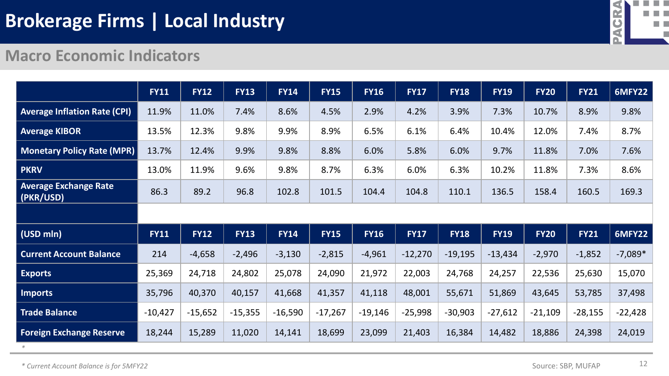

#### **Macro Economic Indicators**

|                                           | <b>FY11</b> | <b>FY12</b> | <b>FY13</b> | <b>FY14</b> | <b>FY15</b> | <b>FY16</b> | <b>FY17</b> | <b>FY18</b> | <b>FY19</b> | <b>FY20</b> | <b>FY21</b> | <b>6MFY22</b> |
|-------------------------------------------|-------------|-------------|-------------|-------------|-------------|-------------|-------------|-------------|-------------|-------------|-------------|---------------|
| <b>Average Inflation Rate (CPI)</b>       | 11.9%       | 11.0%       | 7.4%        | 8.6%        | 4.5%        | 2.9%        | 4.2%        | 3.9%        | 7.3%        | 10.7%       | 8.9%        | 9.8%          |
| <b>Average KIBOR</b>                      | 13.5%       | 12.3%       | 9.8%        | 9.9%        | 8.9%        | 6.5%        | 6.1%        | 6.4%        | 10.4%       | 12.0%       | 7.4%        | 8.7%          |
| <b>Monetary Policy Rate (MPR)</b>         | 13.7%       | 12.4%       | 9.9%        | 9.8%        | 8.8%        | 6.0%        | 5.8%        | 6.0%        | 9.7%        | 11.8%       | 7.0%        | 7.6%          |
| <b>PKRV</b>                               | 13.0%       | 11.9%       | 9.6%        | 9.8%        | 8.7%        | 6.3%        | 6.0%        | 6.3%        | 10.2%       | 11.8%       | 7.3%        | 8.6%          |
| <b>Average Exchange Rate</b><br>(PKR/USD) | 86.3        | 89.2        | 96.8        | 102.8       | 101.5       | 104.4       | 104.8       | 110.1       | 136.5       | 158.4       | 160.5       | 169.3         |
|                                           |             |             |             |             |             |             |             |             |             |             |             |               |
| (USD mln)                                 | <b>FY11</b> | <b>FY12</b> | <b>FY13</b> | <b>FY14</b> | <b>FY15</b> | <b>FY16</b> | <b>FY17</b> | <b>FY18</b> | <b>FY19</b> | <b>FY20</b> | <b>FY21</b> | <b>6MFY22</b> |
| <b>Current Account Balance</b>            | 214         | $-4,658$    | $-2,496$    | $-3,130$    | $-2,815$    | $-4,961$    | $-12,270$   | $-19,195$   | $-13,434$   | $-2,970$    | $-1,852$    | $-7,089*$     |
| <b>Exports</b>                            | 25,369      | 24,718      | 24,802      | 25,078      | 24,090      | 21,972      | 22,003      | 24,768      | 24,257      | 22,536      | 25,630      | 15,070        |
| <b>Imports</b>                            | 35,796      | 40,370      | 40,157      | 41,668      | 41,357      | 41,118      | 48,001      | 55,671      | 51,869      | 43,645      | 53,785      | 37,498        |
| <b>Trade Balance</b>                      | $-10,427$   | $-15,652$   | $-15,355$   | $-16,590$   | $-17,267$   | $-19,146$   | $-25,998$   | $-30,903$   | $-27,612$   | $-21,109$   | $-28,155$   | $-22,428$     |
| <b>Foreign Exchange Reserve</b>           | 18,244      | 15,289      | 11,020      | 14,141      | 18,699      | 23,099      | 21,403      | 16,384      | 14,482      | 18,886      | 24,398      | 24,019        |

*\* Current Account Balance is for 5MFY22*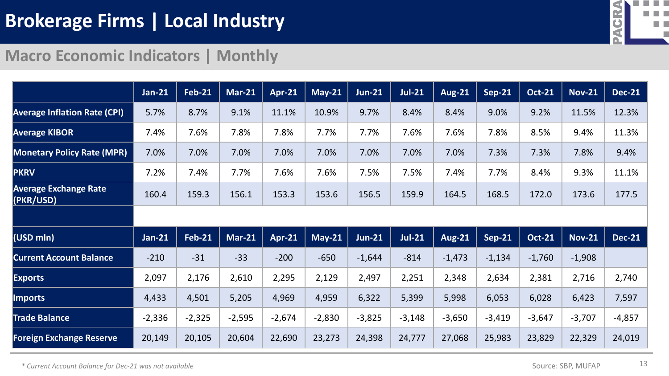

#### **Macro Economic Indicators | Monthly**

|                                           | <b>Jan-21</b> | <b>Feb-21</b> | <b>Mar-21</b> | <b>Apr-21</b> | $May-21$                     | <b>Jun-21</b> | <b>Jul-21</b> | <b>Aug-21</b> | $Sep-21$      | <b>Oct-21</b> | <b>Nov-21</b> | <b>Dec-21</b> |
|-------------------------------------------|---------------|---------------|---------------|---------------|------------------------------|---------------|---------------|---------------|---------------|---------------|---------------|---------------|
| <b>Average Inflation Rate (CPI)</b>       | 5.7%          | 8.7%          | 9.1%          | 11.1%         | 10.9%                        | 9.7%          | 8.4%          | 8.4%          | 9.0%          | 9.2%          | 11.5%         | 12.3%         |
| <b>Average KIBOR</b>                      | 7.4%          | 7.6%          | 7.8%          | 7.8%          | 7.7%                         | 7.7%          | 7.6%          | 7.6%          | 7.8%          | 8.5%          | 9.4%          | 11.3%         |
| <b>Monetary Policy Rate (MPR)</b>         | 7.0%          | 7.0%          | 7.0%          | 7.0%          | 7.0%                         | 7.0%          | 7.0%          | 7.0%          | 7.3%          | 7.3%          | 7.8%          | 9.4%          |
| <b>PKRV</b>                               | 7.2%          | 7.4%          | 7.7%          | 7.6%          | 7.6%                         | 7.5%          | 7.5%          | 7.4%          | 7.7%          | 8.4%          | 9.3%          | 11.1%         |
| <b>Average Exchange Rate</b><br>(PKR/USD) | 160.4         | 159.3         | 156.1         | 153.3         | 153.6                        | 156.5         | 159.9         | 164.5         | 168.5         | 172.0         | 173.6         | 177.5         |
|                                           |               |               |               |               |                              |               |               |               |               |               |               |               |
| (USD mln)                                 | $Jan-21$      | <b>Feb-21</b> | <b>Mar-21</b> | <b>Apr-21</b> | $\overline{\mathsf{May-21}}$ | <b>Jun-21</b> | $Jul-21$      | <b>Aug-21</b> | <b>Sep-21</b> | <b>Oct-21</b> | <b>Nov-21</b> | <b>Dec-21</b> |
| <b>Current Account Balance</b>            | $-210$        | $-31$         | $-33$         | $-200$        | $-650$                       | $-1,644$      | $-814$        | $-1,473$      | $-1,134$      | $-1,760$      | $-1,908$      |               |
| <b>Exports</b>                            | 2,097         | 2,176         | 2,610         | 2,295         | 2,129                        | 2,497         | 2,251         | 2,348         | 2,634         | 2,381         | 2,716         | 2,740         |
| <b>Imports</b>                            | 4,433         | 4,501         | 5,205         | 4,969         | 4,959                        | 6,322         | 5,399         | 5,998         | 6,053         | 6,028         | 6,423         | 7,597         |
| <b>Trade Balance</b>                      | $-2,336$      | $-2,325$      | $-2,595$      | $-2,674$      | $-2,830$                     | $-3,825$      | $-3,148$      | $-3,650$      | $-3,419$      | $-3,647$      | $-3,707$      | $-4,857$      |
| <b>Foreign Exchange Reserve</b>           | 20,149        | 20,105        | 20,604        | 22,690        | 23,273                       | 24,398        | 24,777        | 27,068        | 25,983        | 23,829        | 22,329        | 24,019        |

*\* Current Account Balance for Dec-21 was not available*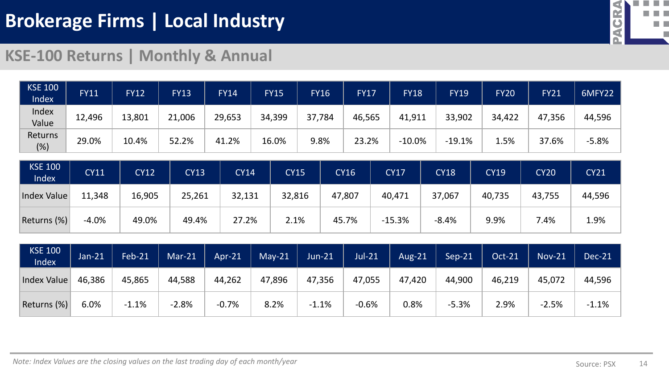

#### **KSE-100 Returns | Monthly & Annual**

| <b>KSE 100</b><br>Index | <b>FY11</b> | <b>FY12</b> | <b>FY13</b> | <b>FY14</b> | <b>FY15</b> | <b>FY16</b> | <b>FY17</b> | <b>FY18</b> | <b>FY19</b> | <b>FY20</b> | <b>FY21</b> | 6MFY22  |
|-------------------------|-------------|-------------|-------------|-------------|-------------|-------------|-------------|-------------|-------------|-------------|-------------|---------|
| Index<br>Value          | 12,496      | 13,801      | 21,006      | 29,653      | 34,399      | 37,<br>,784 | 46,565      | 41,911      | 33,902      | 34,422      | 47,356      | 44,596  |
| Returns<br>(%)          | 29.0%       | 10.4%       | 52.2%       | 41.2%       | 16.0%       | 9.8%        | 23.2%       | $-10.0%$    | $-19.1%$    | 1.5%        | 37.6%       | $-5.8%$ |

| <b>KSE 100</b><br>Index | <b>CY11</b> | <b>CY12</b> | CY13   | <b>CY14</b> | <b>CY15</b> | <b>CY16</b> | <b>CY17</b> | <b>CY18</b> | <b>CY19</b> | <b>CY20</b> | CY21   |
|-------------------------|-------------|-------------|--------|-------------|-------------|-------------|-------------|-------------|-------------|-------------|--------|
| Index Value             | 11,348      | 16,905      | 25,261 | 32,131      | 32,816      | 47,807      | 40,471      | 37,067      | 40,735      | 43,755      | 44,596 |
| Returns (%)             | $-4.0%$     | 49.0%       | 49.4%  | 27.2%       | 2.1%        | 45.7%       | $-15.3%$    | $-8.4%$     | 9.9%        | 7.4%        | 1.9%   |

| <b>KSE 100</b><br>Index | Jan-21 | <b>Feb-21</b> | $Mar-21$ | $Apr-21$ | $May-21$ | $Jun-21$ | <b>Jul-21</b> | Aug- $21$ | Sep-21  | <b>Oct-21</b> | $Nov-21$ | Dec-21  |
|-------------------------|--------|---------------|----------|----------|----------|----------|---------------|-----------|---------|---------------|----------|---------|
| Index Value             | 46,386 | 45,865        | 44,588   | 44,262   | 47,896   | 47,356   | 47,055        | 47,420    | 44,900  | 46,219        | 45,072   | 44,596  |
| Returns (%)             | 6.0%   | $-1.1%$       | $-2.8%$  | $-0.7%$  | 8.2%     | $-1.1%$  | $-0.6%$       | 0.8%      | $-5.3%$ | 2.9%          | $-2.5%$  | $-1.1%$ |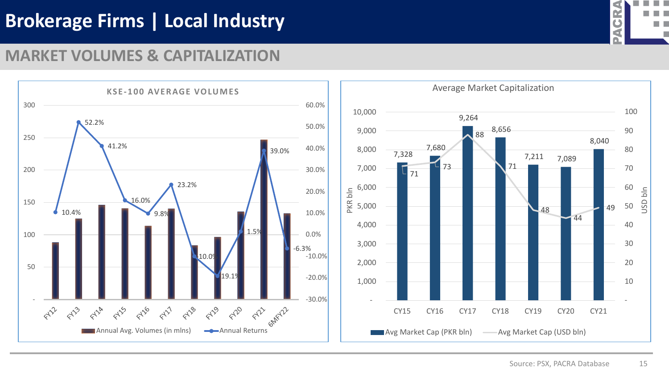

#### **MARKET VOLUMES & CAPITALIZATION**

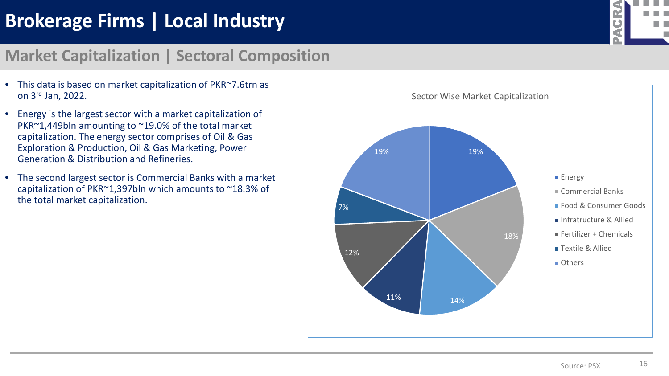

#### **Market Capitalization | Sectoral Composition**

- This data is based on market capitalization of PKR~7.6trn as on 3rd Jan, 2022.
- Energy is the largest sector with a market capitalization of PKR~1,449bln amounting to ~19.0% of the total market capitalization. The energy sector comprises of Oil & Gas Exploration & Production, Oil & Gas Marketing, Power Generation & Distribution and Refineries.
- The second largest sector is Commercial Banks with a market capitalization of PKR~1,397bln which amounts to ~18.3% of the total market capitalization.

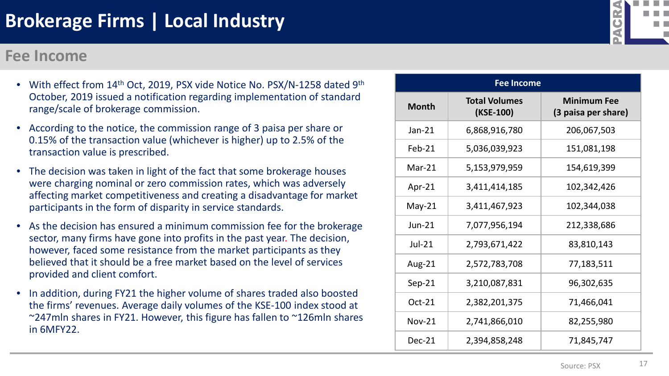#### **Fee Income**

- With effect from 14<sup>th</sup> Oct, 2019, PSX vide Notice No. PSX/N-1258 dated 9<sup>th</sup> October, 2019 issued a notification regarding implementation of standard range/scale of brokerage commission.
- According to the notice, the commission range of 3 paisa per share or 0.15% of the transaction value (whichever is higher) up to 2.5% of the transaction value is prescribed.
- The decision was taken in light of the fact that some brokerage houses were charging nominal or zero commission rates, which was adversely affecting market competitiveness and creating a disadvantage for market participants in the form of disparity in service standards.
- As the decision has ensured a minimum commission fee for the brokerage sector, many firms have gone into profits in the past year. The decision, however, faced some resistance from the market participants as they believed that it should be a free market based on the level of services provided and client comfort.
- In addition, during FY21 the higher volume of shares traded also boosted the firms' revenues. Average daily volumes of the KSE-100 index stood at ~247mln shares in FY21. However, this figure has fallen to ~126mln shares in 6MFY22.

|               | <b>Fee Income</b>                 |                                           |
|---------------|-----------------------------------|-------------------------------------------|
| <b>Month</b>  | <b>Total Volumes</b><br>(KSE-100) | <b>Minimum Fee</b><br>(3 paisa per share) |
| $Jan-21$      | 6,868,916,780                     | 206,067,503                               |
| $Feb-21$      | 5,036,039,923                     | 151,081,198                               |
| $Mar-21$      | 5,153,979,959                     | 154,619,399                               |
| Apr-21        | 3,411,414,185                     | 102,342,426                               |
| $May-21$      | 3,411,467,923                     | 102,344,038                               |
| $Jun-21$      | 7,077,956,194                     | 212,338,686                               |
| <b>Jul-21</b> | 2,793,671,422                     | 83,810,143                                |
| Aug-21        | 2,572,783,708                     | 77,183,511                                |
| $Sep-21$      | 3,210,087,831                     | 96,302,635                                |
| Oct-21        | 2,382,201,375                     | 71,466,041                                |
| <b>Nov-21</b> | 2,741,866,010                     | 82,255,980                                |
| $Dec-21$      | 2,394,858,248                     | 71,845,747                                |

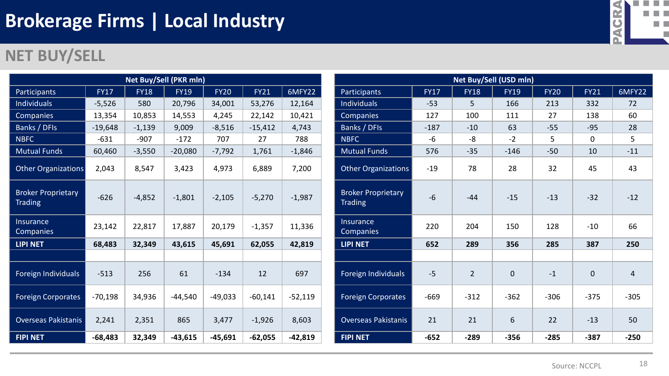### **NET BUY/SELL**

| <b>Net Buy/Sell (PKR mln)</b>               |             |             |             |             |             |           |  |  |  |  |  |  |  |
|---------------------------------------------|-------------|-------------|-------------|-------------|-------------|-----------|--|--|--|--|--|--|--|
| Participants                                | <b>FY17</b> | <b>FY18</b> | <b>FY19</b> | <b>FY20</b> | <b>FY21</b> | 6MFY22    |  |  |  |  |  |  |  |
| <b>Individuals</b>                          | $-5,526$    | 580         | 20,796      | 34,001      | 53,276      | 12,164    |  |  |  |  |  |  |  |
| Companies                                   | 13,354      | 10,853      | 14,553      | 4,245       | 22,142      | 10,421    |  |  |  |  |  |  |  |
| Banks / DFIs                                | $-19,648$   | $-1,139$    | 9,009       | $-8,516$    | $-15,412$   | 4,743     |  |  |  |  |  |  |  |
| <b>NBFC</b>                                 | $-631$      | $-907$      | $-172$      | 707         | 27          | 788       |  |  |  |  |  |  |  |
| <b>Mutual Funds</b>                         | 60,460      | $-3,550$    | $-20,080$   | $-7,792$    | 1,761       | $-1,846$  |  |  |  |  |  |  |  |
| Other Organizations                         | 2,043       | 8,547       | 3,423       | 4,973       | 6,889       | 7,200     |  |  |  |  |  |  |  |
| <b>Broker Proprietary</b><br><b>Trading</b> | $-626$      | $-4,852$    | $-1,801$    | $-2,105$    | $-5,270$    | $-1,987$  |  |  |  |  |  |  |  |
| Insurance<br>Companies                      | 23,142      | 22,817      | 17,887      | 20,179      | $-1,357$    | 11,336    |  |  |  |  |  |  |  |
| <b>LIPI NET</b>                             | 68,483      | 32,349      | 43,615      | 45,691      | 62,055      | 42,819    |  |  |  |  |  |  |  |
|                                             |             |             |             |             |             |           |  |  |  |  |  |  |  |
| Foreign Individuals                         | $-513$      | 256         | 61          | $-134$      | 12          | 697       |  |  |  |  |  |  |  |
| <b>Foreign Corporates</b>                   | $-70,198$   | 34,936      | $-44,540$   | $-49,033$   | $-60,141$   | $-52,119$ |  |  |  |  |  |  |  |
| <b>Overseas Pakistanis</b>                  | 2,241       | 2,351       | 865         | 3,477       | $-1,926$    | 8,603     |  |  |  |  |  |  |  |
| <b>FIPI NET</b>                             | $-68,483$   | 32,349      | $-43,615$   | $-45,691$   | $-62,055$   | $-42,819$ |  |  |  |  |  |  |  |

| Net Buy/Sell (USD mln)                      |             |                |                |             |             |                |
|---------------------------------------------|-------------|----------------|----------------|-------------|-------------|----------------|
| <b>Participants</b>                         | <b>FY17</b> | <b>FY18</b>    | <b>FY19</b>    | <b>FY20</b> | <b>FY21</b> | 6MFY22         |
| <b>Individuals</b>                          | $-53$       | 5              | 166            | 213         | 332         | 72             |
| Companies                                   | 127         | 100            | 111            | 27          | 138         | 60             |
| Banks / DFIs                                | $-187$      | $-10$          | 63             | $-55$       | $-95$       | 28             |
| <b>NBFC</b>                                 | $-6$        | $-8$           | $-2$           | 5           | $\mathbf 0$ | 5              |
| <b>Mutual Funds</b>                         | 576         | $-35$          | $-146$         | $-50$       | 10          | $-11$          |
| <b>Other Organizations</b>                  | $-19$       | 78             | 28             | 32          | 45          | 43             |
| <b>Broker Proprietary</b><br><b>Trading</b> | $-6$        | $-44$          | $-15$          | $-13$       | $-32$       | $-12$          |
| Insurance<br>Companies                      | 220         | 204            | 150            | 128         | $-10$       | 66             |
| <b>LIPI NET</b>                             | 652         | 289            | 356            | 285         | 387         | 250            |
|                                             |             |                |                |             |             |                |
| Foreign Individuals                         | $-5$        | $\overline{2}$ | $\overline{0}$ | $-1$        | $\mathbf 0$ | $\overline{4}$ |
| <b>Foreign Corporates</b>                   | $-669$      | $-312$         | $-362$         | $-306$      | $-375$      | $-305$         |
| <b>Overseas Pakistanis</b>                  | 21          | 21             | 6              | 22          | $-13$       | 50             |
| <b>FIPI NET</b>                             | $-652$      | $-289$         | $-356$         | $-285$      | $-387$      | $-250$         |



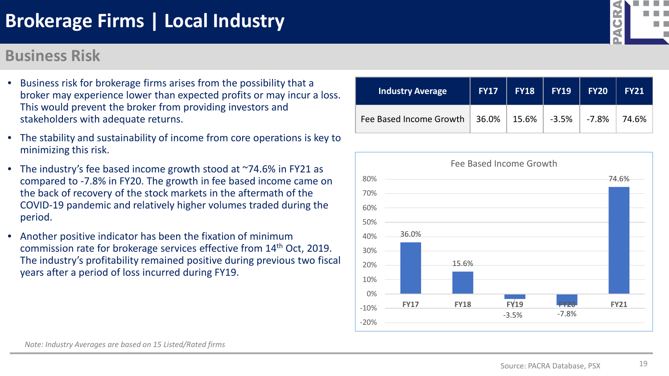#### **Business Risk**



- The stability and sustainability of income from core operations is key to minimizing this risk.
- The industry's fee based income growth stood at ~74.6% in FY21 as compared to -7.8% in FY20. The growth in fee based income came on the back of recovery of the stock markets in the aftermath of the COVID-19 pandemic and relatively higher volumes traded during the period.
- Another positive indicator has been the fixation of minimum commission rate for brokerage services effective from 14th Oct, 2019. The industry's profitability remained positive during previous two fiscal years after a period of loss incurred during FY19.





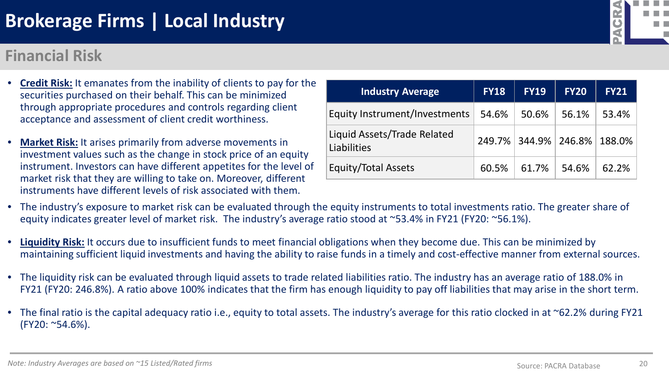#### **Financial Risk**

- **Credit Risk:** It emanates from the inability of clients to pay for the securities purchased on their behalf. This can be minimized through appropriate procedures and controls regarding client acceptance and assessment of client credit worthiness.
- **Market Risk:** It arises primarily from adverse movements in investment values such as the change in stock price of an equity instrument. Investors can have different appetites for the level of market risk that they are willing to take on. Moreover, different instruments have different levels of risk associated with them.
- The industry's exposure to market risk can be evaluated through the equity instruments to total investments ratio. The greater share of equity indicates greater level of market risk. The industry's average ratio stood at ~53.4% in FY21 (FY20: ~56.1%).
- **Liquidity Risk:** It occurs due to insufficient funds to meet financial obligations when they become due. This can be minimized by maintaining sufficient liquid investments and having the ability to raise funds in a timely and cost-effective manner from external sources.
- The liquidity risk can be evaluated through liquid assets to trade related liabilities ratio. The industry has an average ratio of 188.0% in FY21 (FY20: 246.8%). A ratio above 100% indicates that the firm has enough liquidity to pay off liabilities that may arise in the short term.
- The final ratio is the capital adequacy ratio i.e., equity to total assets. The industry's average for this ratio clocked in at ~62.2% during FY21 (FY20: ~54.6%).

| <b>Industry Average</b>                    | <b>FY18</b> | <b>FY19</b>                 | <b>FY20</b> | <b>FY21</b> |
|--------------------------------------------|-------------|-----------------------------|-------------|-------------|
| Equity Instrument/Investments              | 54.6%       | 50.6%                       | 56.1%       | 53.4%       |
| Liquid Assets/Trade Related<br>Liabilities |             | 249.7% 344.9% 246.8% 188.0% |             |             |
| <b>Equity/Total Assets</b>                 | 60.5%       | 61.7%                       | 54.6%       | 62.2%       |
|                                            |             |                             |             |             |

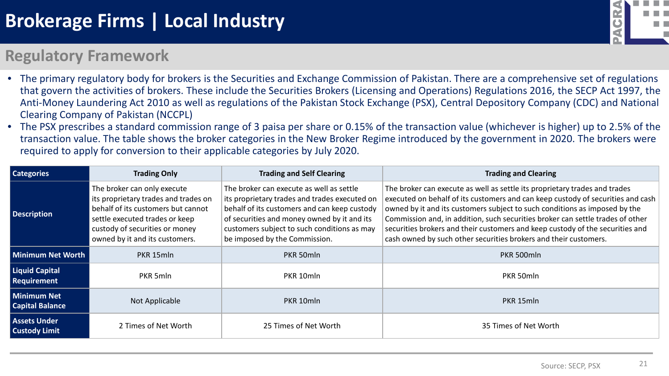

#### **Regulatory Framework**

- The primary regulatory body for brokers is the Securities and Exchange Commission of Pakistan. There are a comprehensive set of regulations that govern the activities of brokers. These include the Securities Brokers (Licensing and Operations) Regulations 2016, the SECP Act 1997, the Anti-Money Laundering Act 2010 as well as regulations of the Pakistan Stock Exchange (PSX), Central Depository Company (CDC) and National Clearing Company of Pakistan (NCCPL)
- The PSX prescribes a standard commission range of 3 paisa per share or 0.15% of the transaction value (whichever is higher) up to 2.5% of the transaction value. The table shows the broker categories in the New Broker Regime introduced by the government in 2020. The brokers were required to apply for conversion to their applicable categories by July 2020.

| <b>Categories</b>                           | <b>Trading Only</b>                                                                                                                                                                                             | <b>Trading and Self Clearing</b>                                                                                                                                                                                                                                         | <b>Trading and Clearing</b>                                                                                                                                                                                                                                                                                                                                                                                                                                                        |
|---------------------------------------------|-----------------------------------------------------------------------------------------------------------------------------------------------------------------------------------------------------------------|--------------------------------------------------------------------------------------------------------------------------------------------------------------------------------------------------------------------------------------------------------------------------|------------------------------------------------------------------------------------------------------------------------------------------------------------------------------------------------------------------------------------------------------------------------------------------------------------------------------------------------------------------------------------------------------------------------------------------------------------------------------------|
| <b>Description</b>                          | The broker can only execute<br>its proprietary trades and trades on<br>behalf of its customers but cannot<br>settle executed trades or keep<br>custody of securities or money<br>owned by it and its customers. | The broker can execute as well as settle<br>its proprietary trades and trades executed on<br>behalf of its customers and can keep custody<br>of securities and money owned by it and its<br>customers subject to such conditions as may<br>be imposed by the Commission. | The broker can execute as well as settle its proprietary trades and trades<br>executed on behalf of its customers and can keep custody of securities and cash<br>owned by it and its customers subject to such conditions as imposed by the<br>Commission and, in addition, such securities broker can settle trades of other<br>securities brokers and their customers and keep custody of the securities and<br>cash owned by such other securities brokers and their customers. |
| Minimum Net Worth                           | PKR 15mln                                                                                                                                                                                                       | PKR 50mln                                                                                                                                                                                                                                                                | PKR 500mln                                                                                                                                                                                                                                                                                                                                                                                                                                                                         |
| <b>Liquid Capital</b><br><b>Requirement</b> | PKR 5mln                                                                                                                                                                                                        | PKR 10mln                                                                                                                                                                                                                                                                | PKR 50mln                                                                                                                                                                                                                                                                                                                                                                                                                                                                          |
| Minimum Net<br><b>Capital Balance</b>       | Not Applicable                                                                                                                                                                                                  | PKR 10mln                                                                                                                                                                                                                                                                | PKR 15mln                                                                                                                                                                                                                                                                                                                                                                                                                                                                          |
| <b>Assets Under</b><br><b>Custody Limit</b> | 2 Times of Net Worth                                                                                                                                                                                            | 25 Times of Net Worth                                                                                                                                                                                                                                                    | 35 Times of Net Worth                                                                                                                                                                                                                                                                                                                                                                                                                                                              |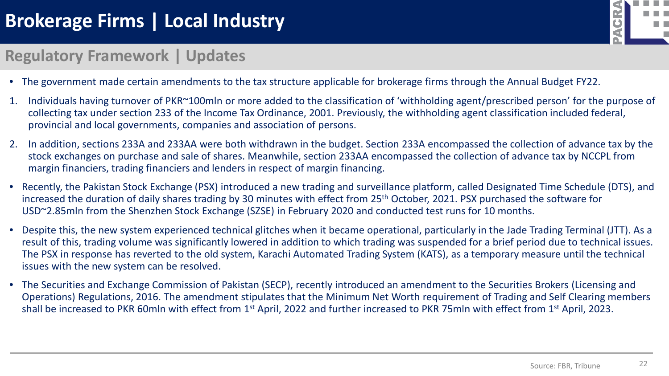

#### **Regulatory Framework | Updates**

- The government made certain amendments to the tax structure applicable for brokerage firms through the Annual Budget FY22.
- 1. Individuals having turnover of PKR~100mln or more added to the classification of 'withholding agent/prescribed person' for the purpose of collecting tax under section 233 of the Income Tax Ordinance, 2001. Previously, the withholding agent classification included federal, provincial and local governments, companies and association of persons.
- 2. In addition, sections 233A and 233AA were both withdrawn in the budget. Section 233A encompassed the collection of advance tax by the stock exchanges on purchase and sale of shares. Meanwhile, section 233AA encompassed the collection of advance tax by NCCPL from margin financiers, trading financiers and lenders in respect of margin financing.
- Recently, the Pakistan Stock Exchange (PSX) introduced a new trading and surveillance platform, called Designated Time Schedule (DTS), and increased the duration of daily shares trading by 30 minutes with effect from 25<sup>th</sup> October, 2021. PSX purchased the software for USD~2.85mln from the Shenzhen Stock Exchange (SZSE) in February 2020 and conducted test runs for 10 months.
- Despite this, the new system experienced technical glitches when it became operational, particularly in the Jade Trading Terminal (JTT). As a result of this, trading volume was significantly lowered in addition to which trading was suspended for a brief period due to technical issues. The PSX in response has reverted to the old system, Karachi Automated Trading System (KATS), as a temporary measure until the technical issues with the new system can be resolved.
- The Securities and Exchange Commission of Pakistan (SECP), recently introduced an amendment to the Securities Brokers (Licensing and Operations) Regulations, 2016. The amendment stipulates that the Minimum Net Worth requirement of Trading and Self Clearing members shall be increased to PKR 60mln with effect from 1<sup>st</sup> April, 2022 and further increased to PKR 75mln with effect from 1<sup>st</sup> April, 2023.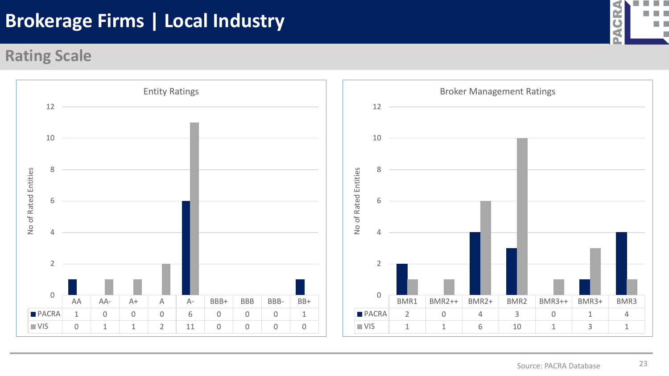#### **Rating Scale**



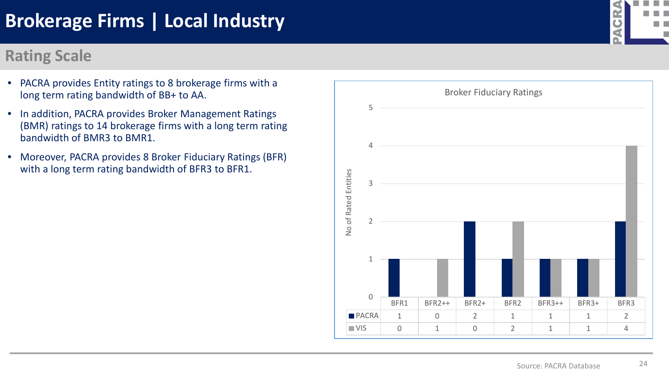#### **Rating Scale**

- PACRA provides Entity ratings to 8 brokerage firms with a long term rating bandwidth of BB+ to AA.
- In addition, PACRA provides Broker Management Ratings (BMR) ratings to 14 brokerage firms with a long term rating bandwidth of BMR3 to BMR1.
- Moreover, PACRA provides 8 Broker Fiduciary Ratings (BFR) with a long term rating bandwidth of BFR3 to BFR1.



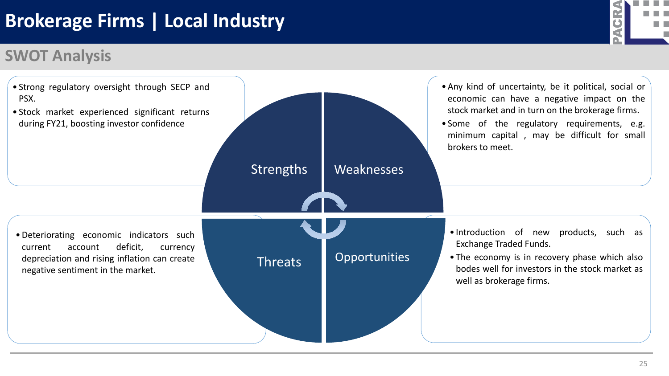### **SWOT Analysis**



![](_page_26_Picture_4.jpeg)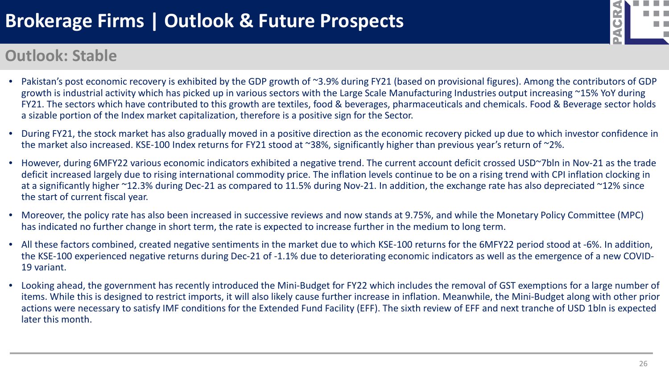# **Brokerage Firms | Outlook & Future Prospects**

![](_page_27_Picture_1.jpeg)

#### **Outlook: Stable**

- Pakistan's post economic recovery is exhibited by the GDP growth of ~3.9% during FY21 (based on provisional figures). Among the contributors of GDP growth is industrial activity which has picked up in various sectors with the Large Scale Manufacturing Industries output increasing ~15% YoY during FY21. The sectors which have contributed to this growth are textiles, food & beverages, pharmaceuticals and chemicals. Food & Beverage sector holds a sizable portion of the Index market capitalization, therefore is a positive sign for the Sector.
- During FY21, the stock market has also gradually moved in a positive direction as the economic recovery picked up due to which investor confidence in the market also increased. KSE-100 Index returns for FY21 stood at ~38%, significantly higher than previous year's return of ~2%.
- However, during 6MFY22 various economic indicators exhibited a negative trend. The current account deficit crossed USD~7bln in Nov-21 as the trade deficit increased largely due to rising international commodity price. The inflation levels continue to be on a rising trend with CPI inflation clocking in at a significantly higher ~12.3% during Dec-21 as compared to 11.5% during Nov-21. In addition, the exchange rate has also depreciated ~12% since the start of current fiscal year.
- Moreover, the policy rate has also been increased in successive reviews and now stands at 9.75%, and while the Monetary Policy Committee (MPC) has indicated no further change in short term, the rate is expected to increase further in the medium to long term.
- All these factors combined, created negative sentiments in the market due to which KSE-100 returns for the 6MFY22 period stood at -6%. In addition, the KSE-100 experienced negative returns during Dec-21 of -1.1% due to deteriorating economic indicators as well as the emergence of a new COVID-19 variant.
- Looking ahead, the government has recently introduced the Mini-Budget for FY22 which includes the removal of GST exemptions for a large number of items. While this is designed to restrict imports, it will also likely cause further increase in inflation. Meanwhile, the Mini-Budget along with other prior actions were necessary to satisfy IMF conditions for the Extended Fund Facility (EFF). The sixth review of EFF and next tranche of USD 1bln is expected later this month.